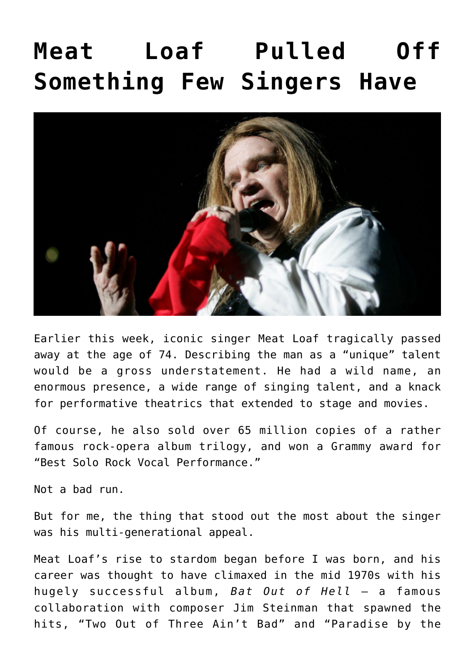## **[Meat Loaf Pulled Off](https://bernardgoldberg.com/meat-loaf-pulled-off-something-few-singers-have/) [Something Few Singers Have](https://bernardgoldberg.com/meat-loaf-pulled-off-something-few-singers-have/)**



Earlier this week, iconic singer Meat Loaf tragically passed away at the age of 74. Describing the man as a "unique" talent would be a gross understatement. He had a wild name, an enormous presence, a wide range of singing talent, and a knack for performative theatrics that extended to stage and movies.

Of course, he also sold over 65 million copies of a rather famous rock-opera album trilogy, and won a Grammy award for "Best Solo Rock Vocal Performance."

Not a bad run.

But for me, the thing that stood out the most about the singer was his multi-generational appeal.

Meat Loaf's rise to stardom began before I was born, and his career was thought to have climaxed in the mid 1970s with his hugely successful album, *Bat Out of Hell* — a famous collaboration with composer Jim Steinman that spawned the hits, "Two Out of Three Ain't Bad" and "Paradise by the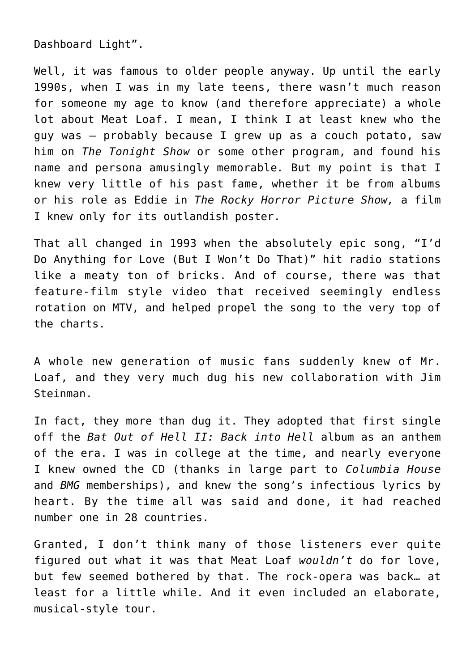Dashboard Light".

Well, it was famous to older people anyway. Up until the early 1990s, when I was in my late teens, there wasn't much reason for someone my age to know (and therefore appreciate) a whole lot about Meat Loaf. I mean, I think I at least knew who the guy was — probably because I grew up as a couch potato, saw him on *The Tonight Show* or some other program, and found his name and persona amusingly memorable*.* But my point is that I knew very little of his past fame, whether it be from albums or his role as Eddie in *The Rocky Horror Picture Show,* a film I knew only for its outlandish poster.

That all changed in 1993 when the absolutely epic song, "I'd Do Anything for Love (But I Won't Do That)" hit radio stations like a meaty ton of bricks. And of course, there was that feature-film style video that received seemingly endless rotation on MTV, and helped propel the song to the very top of the charts.

A whole new generation of music fans suddenly knew of Mr. Loaf, and they very much dug his new collaboration with Jim Steinman.

In fact, they more than dug it. They adopted that first single off the *Bat Out of Hell II: Back into Hell* album as an anthem of the era. I was in college at the time, and nearly everyone I knew owned the CD (thanks in large part to *Columbia House* and *BMG* memberships), and knew the song's infectious lyrics by heart. By the time all was said and done, it had reached number one in 28 countries.

Granted, I don't think many of those listeners ever quite figured out what it was that Meat Loaf *wouldn't* do for love, but few seemed bothered by that. The rock-opera was back… at least for a little while. And it even included an elaborate, musical-style tour.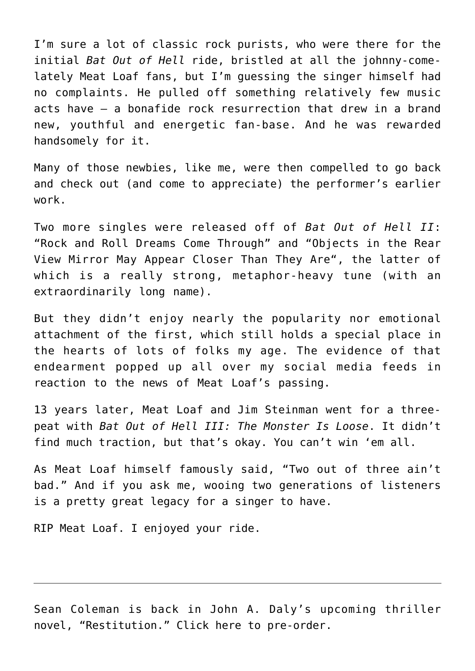I'm sure a lot of classic rock purists, who were there for the initial *Bat Out of Hell* ride, bristled at all the johnny-comelately Meat Loaf fans, but I'm guessing the singer himself had no complaints. He pulled off something relatively few music acts have — a bonafide rock resurrection that drew in a brand new, youthful and energetic fan-base. And he was rewarded handsomely for it.

Many of those newbies, like me, were then compelled to go back and check out (and come to appreciate) the performer's earlier work.

Two more singles were released off of *Bat Out of Hell II*: "Rock and Roll Dreams Come Through" and ["Objects in the Rear](https://www.youtube.com/watch?v=3jPMv9zJ1LE) [View Mirror May Appear Closer Than They Are](https://www.youtube.com/watch?v=3jPMv9zJ1LE)", the latter of which is a really strong, metaphor-heavy tune (with an extraordinarily long name).

But they didn't enjoy nearly the popularity nor emotional attachment of the first, which still holds a special place in the hearts of lots of folks my age. The evidence of that endearment popped up all over my social media feeds in reaction to the news of Meat Loaf's passing.

13 years later, Meat Loaf and Jim Steinman went for a threepeat with *Bat Out of Hell III: The Monster Is Loose*. It didn't find much traction, but that's okay. You can't win 'em all.

As Meat Loaf himself famously said, "Two out of three ain't bad." And if you ask me, wooing two generations of listeners is a pretty great legacy for a singer to have.

RIP Meat Loaf. I enjoyed your ride.

Sean Coleman is back in John A. Daly's upcoming thriller novel, "Restitution." [Click here to pre-order](https://amzn.to/3CqkrOb).